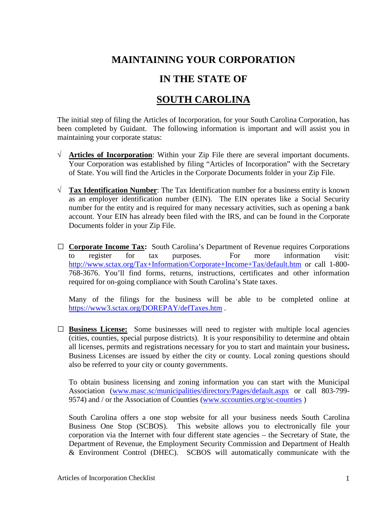## **MAINTAINING YOUR CORPORATION**

## **IN THE STATE OF**

## **SOUTH CAROLINA**

The initial step of filing the Articles of Incorporation, for your South Carolina Corporation, has been completed by Guidant. The following information is important and will assist you in maintaining your corporate status:

- √ **Articles of Incorporation**: Within your Zip File there are several important documents. Your Corporation was established by filing "Articles of Incorporation" with the Secretary of State. You will find the Articles in the Corporate Documents folder in your Zip File.
- √ **Tax Identification Number**: The Tax Identification number for a business entity is known as an employer identification number (EIN). The EIN operates like a Social Security number for the entity and is required for many necessary activities, such as opening a bank account. Your EIN has already been filed with the IRS, and can be found in the Corporate Documents folder in your Zip File.
- □ **Corporate Income Tax:** South Carolina's Department of Revenue requires Corporations to register for tax purposes. For more information visit: to register for tax purposes. For more information visit: <http://www.sctax.org/Tax+Information/Corporate+Income+Tax/default.htm> or call 1-800- 768-3676. You'll find forms, returns, instructions, certificates and other information required for on-going compliance with South Carolina's State taxes.

Many of the filings for the business will be able to be completed online at <https://www3.sctax.org/DOREPAY/defTaxes.htm> .

□ **Business License:** Some businesses will need to register with multiple local agencies (cities, counties, special purpose districts). It is your responsibility to determine and obtain all licenses, permits and registrations necessary for you to start and maintain your business**.**  Business Licenses are issued by either the city or county. Local zoning questions should also be referred to your city or county governments.

To obtain business licensing and zoning information you can start with the Municipal Association [\(www.masc.sc/municipalities/directory/Pages/default.aspx](http://www.masc.sc/municipalities/directory/Pages/default.aspx) or call 803-799- 9574) and / or the Association of Counties [\(www.sccounties.org/sc-counties](http://www.sccounties.org/sc-counties) )

South Carolina offers a one stop website for all your business needs South Carolina Business One Stop (SCBOS). This website allows you to electronically file your corporation via the Internet with four different state agencies – the Secretary of State, the Department of Revenue, the Employment Security Commission and Department of Health & Environment Control (DHEC). SCBOS will automatically communicate with the